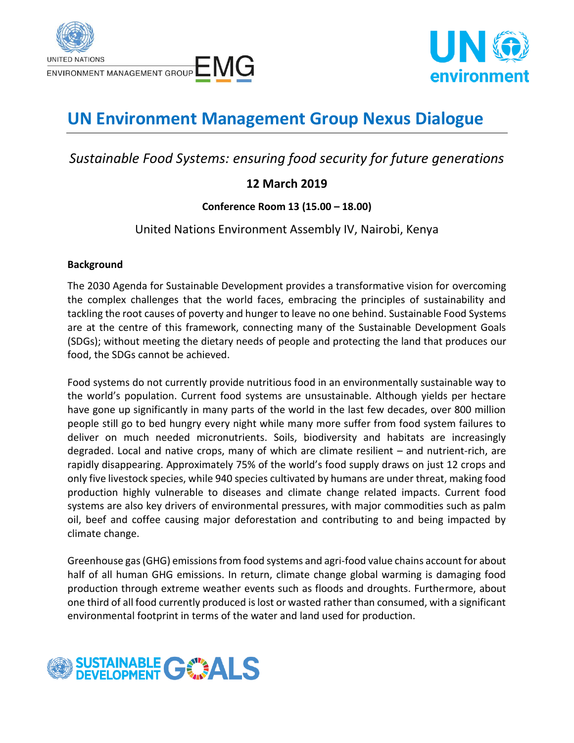



# **UN Environment Management Group Nexus Dialogue**

## *Sustainable Food Systems: ensuring food security for future generations*

## **12 March 2019**

**Conference Room 13 (15.00 – 18.00)**

United Nations Environment Assembly IV, Nairobi, Kenya

#### **Background**

The 2030 Agenda for Sustainable Development provides a transformative vision for overcoming the complex challenges that the world faces, embracing the principles of sustainability and tackling the root causes of poverty and hunger to leave no one behind. Sustainable Food Systems are at the centre of this framework, connecting many of the Sustainable Development Goals (SDGs); without meeting the dietary needs of people and protecting the land that produces our food, the SDGs cannot be achieved.

Food systems do not currently provide nutritious food in an environmentally sustainable way to the world's population. Current food systems are unsustainable. Although yields per hectare have gone up significantly in many parts of the world in the last few decades, over 800 million people still go to bed hungry every night while many more suffer from food system failures to deliver on much needed micronutrients. Soils, biodiversity and habitats are increasingly degraded. Local and native crops, many of which are climate resilient – and nutrient-rich, are rapidly disappearing. Approximately 75% of the world's food supply draws on just 12 crops and only five livestock species, while 940 species cultivated by humans are under threat, making food production highly vulnerable to diseases and climate change related impacts. Current food systems are also key drivers of environmental pressures, with major commodities such as palm oil, beef and coffee causing major deforestation and contributing to and being impacted by climate change.

Greenhouse gas (GHG) emissions from food systems and agri-food value chains account for about half of all human GHG emissions. In return, climate change global warming is damaging food production through extreme weather events such as floods and droughts. Furthermore, about one third of all food currently produced is lost or wasted rather than consumed, with a significant environmental footprint in terms of the water and land used for production.

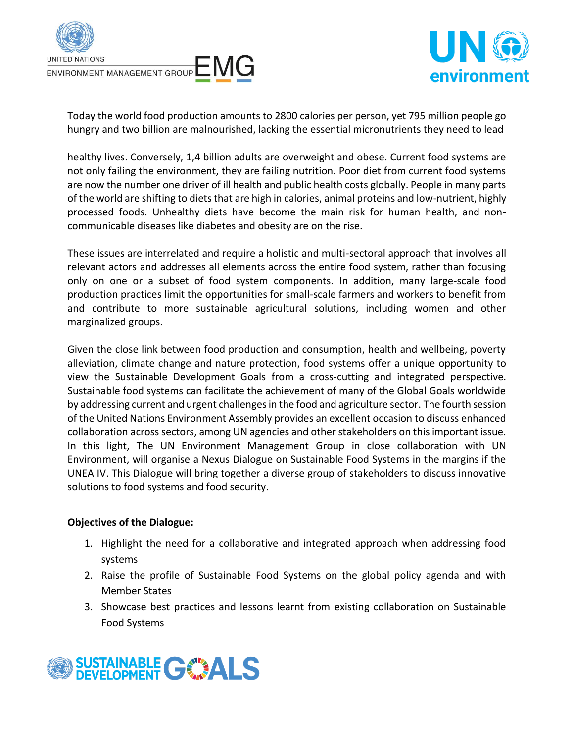



Today the world food production amounts to 2800 calories per person, yet 795 million people go hungry and two billion are malnourished, lacking the essential micronutrients they need to lead

healthy lives. Conversely, 1,4 billion adults are overweight and obese. Current food systems are not only failing the environment, they are failing nutrition. Poor diet from current food systems are now the number one driver of ill health and public health costs globally. People in many parts of the world are shifting to diets that are high in calories, animal proteins and low-nutrient, highly processed foods. Unhealthy diets have become the main risk for human health, and noncommunicable diseases like diabetes and obesity are on the rise.

These issues are interrelated and require a holistic and multi-sectoral approach that involves all relevant actors and addresses all elements across the entire food system, rather than focusing only on one or a subset of food system components. In addition, many large-scale food production practices limit the opportunities for small-scale farmers and workers to benefit from and contribute to more sustainable agricultural solutions, including women and other marginalized groups.

Given the close link between food production and consumption, health and wellbeing, poverty alleviation, climate change and nature protection, food systems offer a unique opportunity to view the Sustainable Development Goals from a cross-cutting and integrated perspective. Sustainable food systems can facilitate the achievement of many of the Global Goals worldwide by addressing current and urgent challenges in the food and agriculture sector. The fourth session of the United Nations Environment Assembly provides an excellent occasion to discuss enhanced collaboration across sectors, among UN agencies and other stakeholders on this important issue. In this light, The UN Environment Management Group in close collaboration with UN Environment, will organise a Nexus Dialogue on Sustainable Food Systems in the margins if the UNEA IV. This Dialogue will bring together a diverse group of stakeholders to discuss innovative solutions to food systems and food security.

#### **Objectives of the Dialogue:**

- 1. Highlight the need for a collaborative and integrated approach when addressing food systems
- 2. Raise the profile of Sustainable Food Systems on the global policy agenda and with Member States
- 3. Showcase best practices and lessons learnt from existing collaboration on Sustainable Food Systems

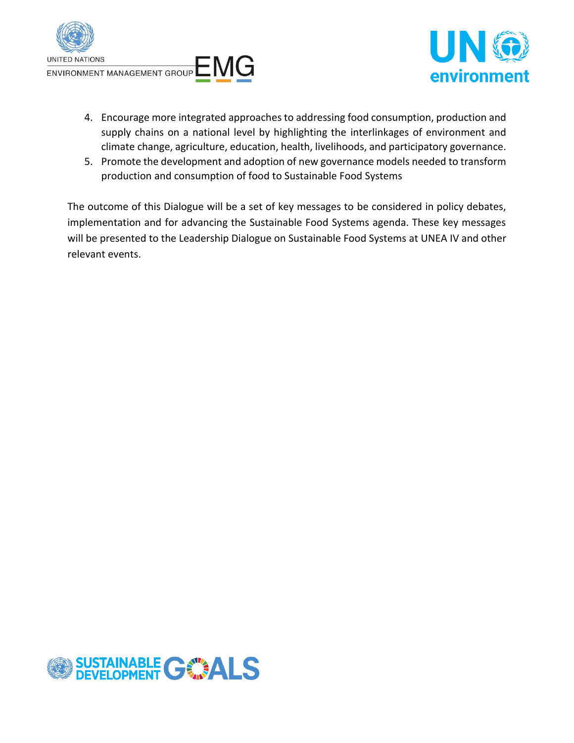



- 4. Encourage more integrated approaches to addressing food consumption, production and supply chains on a national level by highlighting the interlinkages of environment and climate change, agriculture, education, health, livelihoods, and participatory governance.
- 5. Promote the development and adoption of new governance models needed to transform production and consumption of food to Sustainable Food Systems

The outcome of this Dialogue will be a set of key messages to be considered in policy debates, implementation and for advancing the Sustainable Food Systems agenda. These key messages will be presented to the Leadership Dialogue on Sustainable Food Systems at UNEA IV and other relevant events.

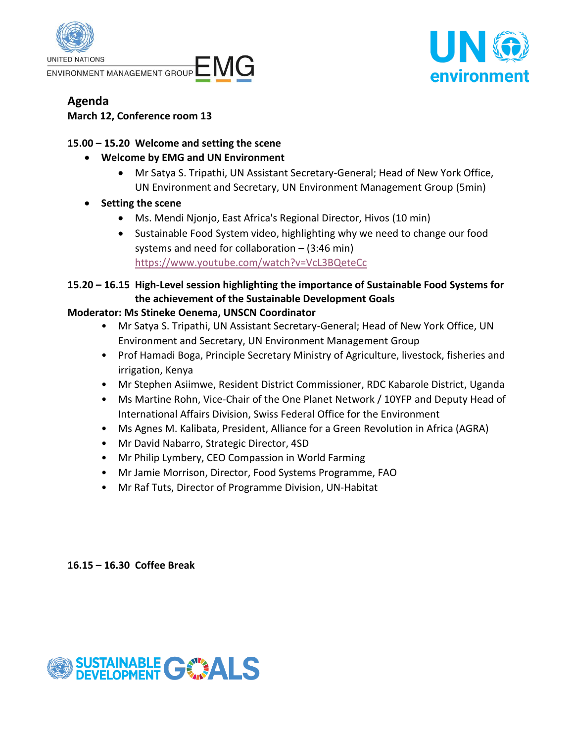



## **Agenda**

**March 12, Conference room 13**

## **15.00 – 15.20 Welcome and setting the scene**

- **Welcome by EMG and UN Environment** 
	- Mr Satya S. Tripathi, UN Assistant Secretary-General; Head of New York Office, UN Environment and Secretary, UN Environment Management Group (5min)
- **Setting the scene**
	- Ms. Mendi Njonjo, East Africa's Regional Director, Hivos (10 min)
	- Sustainable Food System video, highlighting why we need to change our food systems and need for collaboration – (3:46 min) <https://www.youtube.com/watch?v=VcL3BQeteCc>
- **15.20 – 16.15 High-Level session highlighting the importance of Sustainable Food Systems for the achievement of the Sustainable Development Goals**

## **Moderator: Ms Stineke Oenema, UNSCN Coordinator**

- Mr Satya S. Tripathi, UN Assistant Secretary-General; Head of New York Office, UN Environment and Secretary, UN Environment Management Group
- Prof Hamadi Boga, Principle Secretary Ministry of Agriculture, livestock, fisheries and irrigation, Kenya
- Mr Stephen Asiimwe, Resident District Commissioner, RDC Kabarole District, Uganda
- Ms Martine Rohn, Vice-Chair of the One Planet Network / 10YFP and Deputy Head of International Affairs Division, Swiss Federal Office for the Environment
- Ms Agnes M. Kalibata, President, Alliance for a Green Revolution in Africa (AGRA)
- Mr David Nabarro, Strategic Director, 4SD
- Mr Philip Lymbery, CEO Compassion in World Farming
- Mr Jamie Morrison, Director, Food Systems Programme, FAO
- Mr Raf Tuts, Director of Programme Division, UN-Habitat

**16.15 – 16.30 Coffee Break**